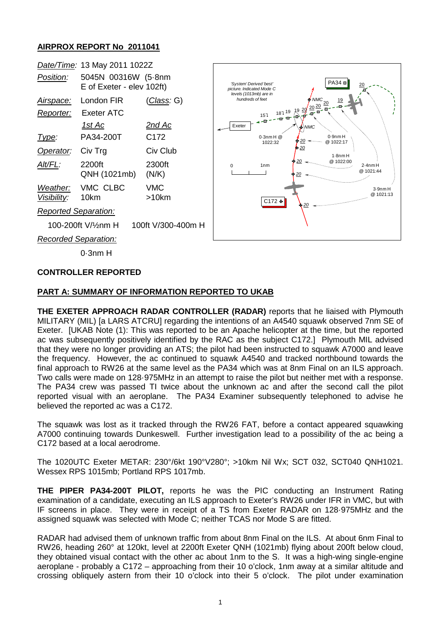## **AIRPROX REPORT No 2011041**

|                                         | Date/Time: 13 May 2011 1022Z                     |                     |
|-----------------------------------------|--------------------------------------------------|---------------------|
| <i>Position:</i>                        | 5045N 00316W (5.8nm<br>E of Exeter - elev 102ft) |                     |
| <u>Airspace:</u><br>Reporter:           | London FIR<br>Exeter ATC                         | ( <i>Class:</i> G)  |
|                                         | 1st Ac                                           | 2nd Ac              |
| Type:                                   | PA34-200T                                        | C172                |
| Operator:                               | Civ Trg                                          | Civ Club            |
| AIt/FL:                                 | 2200ft<br>QNH (1021mb)                           | 2300ft<br>(N/K)     |
| Visibility: 10km                        | Weather: VMC CLBC                                | <b>VMC</b><br>>10km |
| <b>Reported Separation:</b>             |                                                  |                     |
| 100-200ft V/½nm H<br>100ft V/300-400m H |                                                  |                     |
| Recorded Separation:                    |                                                  |                     |



0·3nm H

### **CONTROLLER REPORTED**

### **PART A: SUMMARY OF INFORMATION REPORTED TO UKAB**

**THE EXETER APPROACH RADAR CONTROLLER (RADAR)** reports that he liaised with Plymouth MILITARY (MIL) [a LARS ATCRU] regarding the intentions of an A4540 squawk observed 7nm SE of Exeter. [UKAB Note (1): This was reported to be an Apache helicopter at the time, but the reported ac was subsequently positively identified by the RAC as the subject C172.] Plymouth MIL advised that they were no longer providing an ATS; the pilot had been instructed to squawk A7000 and leave the frequency. However, the ac continued to squawk A4540 and tracked northbound towards the final approach to RW26 at the same level as the PA34 which was at 8nm Final on an ILS approach. Two calls were made on 128·975MHz in an attempt to raise the pilot but neither met with a response. The PA34 crew was passed TI twice about the unknown ac and after the second call the pilot reported visual with an aeroplane. The PA34 Examiner subsequently telephoned to advise he believed the reported ac was a C172.

The squawk was lost as it tracked through the RW26 FAT, before a contact appeared squawking A7000 continuing towards Dunkeswell. Further investigation lead to a possibility of the ac being a C172 based at a local aerodrome.

The 1020UTC Exeter METAR: 230°/6kt 190°V280°; >10km Nil Wx; SCT 032, SCT040 QNH1021. Wessex RPS 1015mb; Portland RPS 1017mb.

**THE PIPER PA34-200T PILOT,** reports he was the PIC conducting an Instrument Rating examination of a candidate, executing an ILS approach to Exeter's RW26 under IFR in VMC, but with IF screens in place. They were in receipt of a TS from Exeter RADAR on 128·975MHz and the assigned squawk was selected with Mode C; neither TCAS nor Mode S are fitted.

RADAR had advised them of unknown traffic from about 8nm Final on the ILS. At about 6nm Final to RW26, heading 260° at 120kt, level at 2200ft Exeter QNH (1021mb) flying about 200ft below cloud, they obtained visual contact with the other ac about 1nm to the S. It was a high-wing single-engine aeroplane - probably a C172 – approaching from their 10 o'clock, 1nm away at a similar altitude and crossing obliquely astern from their 10 o'clock into their 5 o'clock. The pilot under examination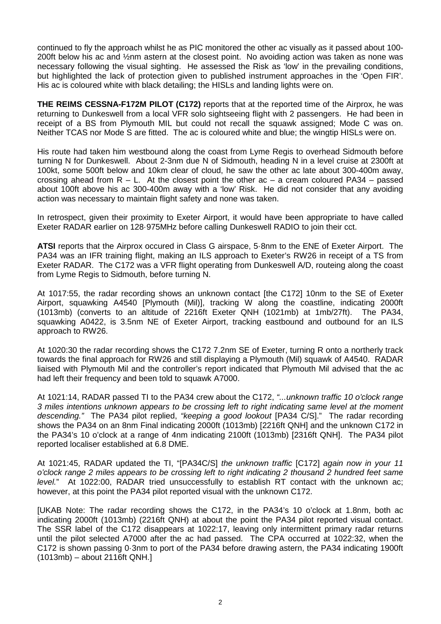continued to fly the approach whilst he as PIC monitored the other ac visually as it passed about 100- 200ft below his ac and ½nm astern at the closest point. No avoiding action was taken as none was necessary following the visual sighting. He assessed the Risk as 'low' in the prevailing conditions, but highlighted the lack of protection given to published instrument approaches in the 'Open FIR'. His ac is coloured white with black detailing; the HISLs and landing lights were on.

**THE REIMS CESSNA-F172M PILOT (C172)** reports that at the reported time of the Airprox, he was returning to Dunkeswell from a local VFR solo sightseeing flight with 2 passengers. He had been in receipt of a BS from Plymouth MIL but could not recall the squawk assigned; Mode C was on. Neither TCAS nor Mode S are fitted. The ac is coloured white and blue; the wingtip HISLs were on.

His route had taken him westbound along the coast from Lyme Regis to overhead Sidmouth before turning N for Dunkeswell. About 2-3nm due N of Sidmouth, heading N in a level cruise at 2300ft at 100kt, some 500ft below and 10km clear of cloud, he saw the other ac late about 300-400m away, crossing ahead from  $R - L$ . At the closest point the other ac – a cream coloured PA34 – passed about 100ft above his ac 300-400m away with a 'low' Risk. He did not consider that any avoiding action was necessary to maintain flight safety and none was taken.

In retrospect, given their proximity to Exeter Airport, it would have been appropriate to have called Exeter RADAR earlier on 128·975MHz before calling Dunkeswell RADIO to join their cct.

**ATSI** reports that the Airprox occured in Class G airspace, 5·8nm to the ENE of Exeter Airport. The PA34 was an IFR training flight, making an ILS approach to Exeter's RW26 in receipt of a TS from Exeter RADAR. The C172 was a VFR flight operating from Dunkeswell A/D, routeing along the coast from Lyme Regis to Sidmouth, before turning N.

At 1017:55, the radar recording shows an unknown contact [the C172] 10nm to the SE of Exeter Airport, squawking A4540 [Plymouth (Mil)], tracking W along the coastline, indicating 2000ft (1013mb) (converts to an altitude of 2216ft Exeter QNH (1021mb) at 1mb/27ft). The PA34, squawking A0422, is 3.5nm NE of Exeter Airport, tracking eastbound and outbound for an ILS approach to RW26.

At 1020:30 the radar recording shows the C172 7.2nm SE of Exeter, turning R onto a northerly track towards the final approach for RW26 and still displaying a Plymouth (Mil) squawk of A4540. RADAR liaised with Plymouth Mil and the controller's report indicated that Plymouth Mil advised that the ac had left their frequency and been told to squawk A7000.

At 1021:14, RADAR passed TI to the PA34 crew about the C172, *"...unknown traffic 10 o'clock range 3 miles intentions unknown appears to be crossing left to right indicating same level at the moment descending."* The PA34 pilot replied, *"keeping a good lookout* [PA34 C/S]." The radar recording shows the PA34 on an 8nm Final indicating 2000ft (1013mb) [2216ft QNH] and the unknown C172 in the PA34's 10 o'clock at a range of 4nm indicating 2100ft (1013mb) [2316ft QNH]. The PA34 pilot reported localiser established at 6.8 DME.

At 1021:45, RADAR updated the TI, "[PA34C/S] *the unknown traffic* [C172] *again now in your 11 o'clock range 2 miles appears to be crossing left to right indicating 2 thousand 2 hundred feet same level.*" At 1022:00, RADAR tried unsuccessfully to establish RT contact with the unknown ac; however, at this point the PA34 pilot reported visual with the unknown C172.

[UKAB Note: The radar recording shows the C172, in the PA34's 10 o'clock at 1.8nm, both ac indicating 2000ft (1013mb) (2216ft QNH) at about the point the PA34 pilot reported visual contact. The SSR label of the C172 disappears at 1022:17, leaving only intermittent primary radar returns until the pilot selected A7000 after the ac had passed. The CPA occurred at 1022:32, when the C172 is shown passing 0·3nm to port of the PA34 before drawing astern, the PA34 indicating 1900ft (1013mb) – about 2116ft QNH.]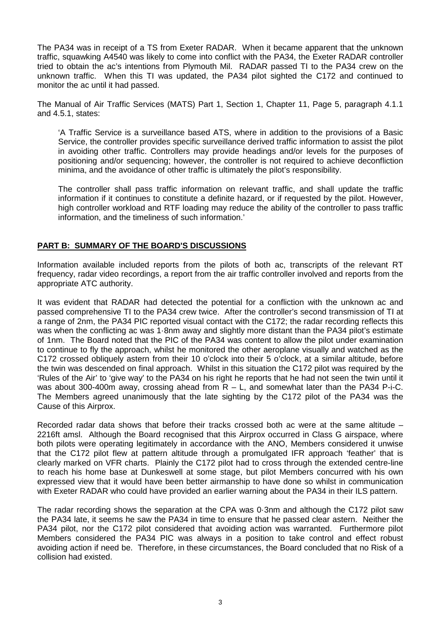The PA34 was in receipt of a TS from Exeter RADAR. When it became apparent that the unknown traffic, squawking A4540 was likely to come into conflict with the PA34, the Exeter RADAR controller tried to obtain the ac's intentions from Plymouth Mil. RADAR passed TI to the PA34 crew on the unknown traffic. When this TI was updated, the PA34 pilot sighted the C172 and continued to monitor the ac until it had passed.

The Manual of Air Traffic Services (MATS) Part 1, Section 1, Chapter 11, Page 5, paragraph 4.1.1 and 4.5.1, states:

'A Traffic Service is a surveillance based ATS, where in addition to the provisions of a Basic Service, the controller provides specific surveillance derived traffic information to assist the pilot in avoiding other traffic. Controllers may provide headings and/or levels for the purposes of positioning and/or sequencing; however, the controller is not required to achieve deconfliction minima, and the avoidance of other traffic is ultimately the pilot's responsibility.

The controller shall pass traffic information on relevant traffic, and shall update the traffic information if it continues to constitute a definite hazard, or if requested by the pilot. However, high controller workload and RTF loading may reduce the ability of the controller to pass traffic information, and the timeliness of such information.'

### **PART B: SUMMARY OF THE BOARD'S DISCUSSIONS**

Information available included reports from the pilots of both ac, transcripts of the relevant RT frequency, radar video recordings, a report from the air traffic controller involved and reports from the appropriate ATC authority.

It was evident that RADAR had detected the potential for a confliction with the unknown ac and passed comprehensive TI to the PA34 crew twice. After the controller's second transmission of TI at a range of 2nm, the PA34 PIC reported visual contact with the C172; the radar recording reflects this was when the conflicting ac was 1 $\cdot$ 8nm away and slightly more distant than the PA34 pilot's estimate of 1nm. The Board noted that the PIC of the PA34 was content to allow the pilot under examination to continue to fly the approach, whilst he monitored the other aeroplane visually and watched as the C172 crossed obliquely astern from their 10 o'clock into their 5 o'clock, at a similar altitude, before the twin was descended on final approach. Whilst in this situation the C172 pilot was required by the 'Rules of the Air' to 'give way' to the PA34 on his right he reports that he had not seen the twin until it was about 300-400m away, crossing ahead from R – L, and somewhat later than the PA34 P-i-C. The Members agreed unanimously that the late sighting by the C172 pilot of the PA34 was the Cause of this Airprox.

Recorded radar data shows that before their tracks crossed both ac were at the same altitude – 2216ft amsl. Although the Board recognised that this Airprox occurred in Class G airspace, where both pilots were operating legitimately in accordance with the ANO, Members considered it unwise that the C172 pilot flew at pattern altitude through a promulgated IFR approach 'feather' that is clearly marked on VFR charts. Plainly the C172 pilot had to cross through the extended centre-line to reach his home base at Dunkeswell at some stage, but pilot Members concurred with his own expressed view that it would have been better airmanship to have done so whilst in communication with Exeter RADAR who could have provided an earlier warning about the PA34 in their ILS pattern.

The radar recording shows the separation at the CPA was 0·3nm and although the C172 pilot saw the PA34 late, it seems he saw the PA34 in time to ensure that he passed clear astern. Neither the PA34 pilot, nor the C172 pilot considered that avoiding action was warranted. Furthermore pilot Members considered the PA34 PIC was always in a position to take control and effect robust avoiding action if need be. Therefore, in these circumstances, the Board concluded that no Risk of a collision had existed.